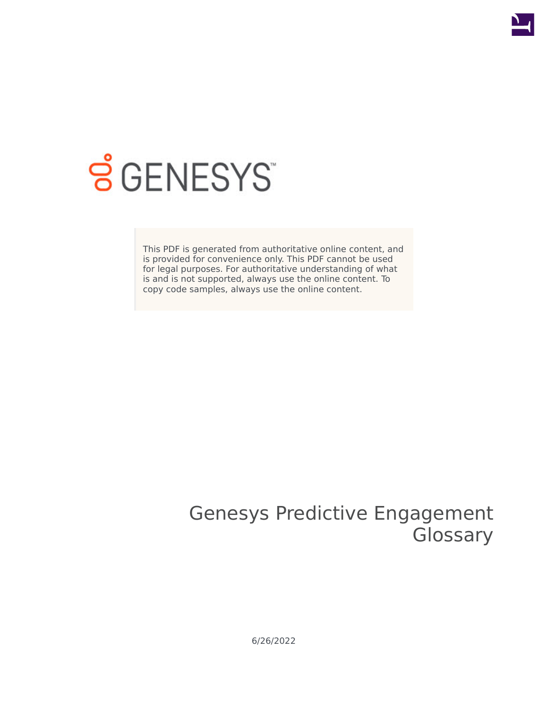

## **SGENESYS**

This PDF is generated from authoritative online content, and is provided for convenience only. This PDF cannot be used for legal purposes. For authoritative understanding of what is and is not supported, always use the online content. To copy code samples, always use the online content.

## Genesys Predictive Engagement **Glossary**

6/26/2022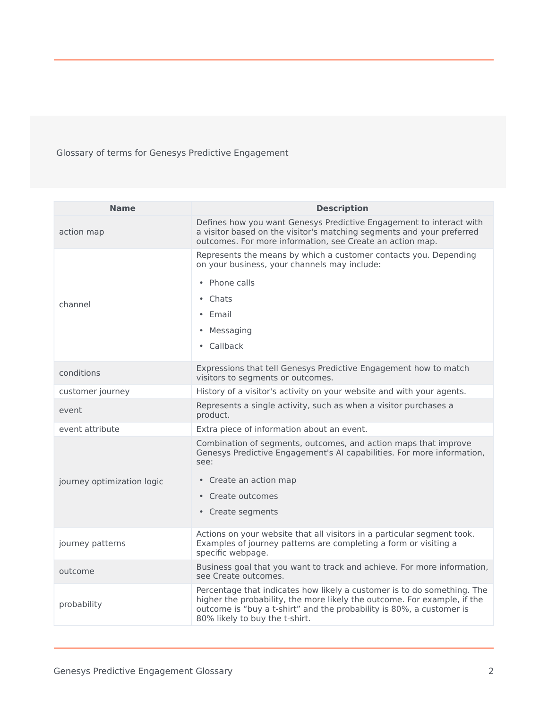Glossary of terms for Genesys Predictive Engagement

| a visitor based on the visitor's matching segments and your preferred<br>action map<br>outcomes. For more information, see Create an action map.<br>Represents the means by which a customer contacts you. Depending<br>on your business, your channels may include:<br>• Phone calls<br>• Chats<br>channel<br>• Email<br>• Messaging<br>• Callback<br>Expressions that tell Genesys Predictive Engagement how to match<br>conditions<br>visitors to segments or outcomes.<br>customer journey<br>History of a visitor's activity on your website and with your agents.<br>Represents a single activity, such as when a visitor purchases a<br>event<br>product. | <b>Name</b>                | <b>Description</b>                                                                                                                                  |
|------------------------------------------------------------------------------------------------------------------------------------------------------------------------------------------------------------------------------------------------------------------------------------------------------------------------------------------------------------------------------------------------------------------------------------------------------------------------------------------------------------------------------------------------------------------------------------------------------------------------------------------------------------------|----------------------------|-----------------------------------------------------------------------------------------------------------------------------------------------------|
|                                                                                                                                                                                                                                                                                                                                                                                                                                                                                                                                                                                                                                                                  |                            | Defines how you want Genesys Predictive Engagement to interact with                                                                                 |
|                                                                                                                                                                                                                                                                                                                                                                                                                                                                                                                                                                                                                                                                  |                            |                                                                                                                                                     |
|                                                                                                                                                                                                                                                                                                                                                                                                                                                                                                                                                                                                                                                                  |                            |                                                                                                                                                     |
|                                                                                                                                                                                                                                                                                                                                                                                                                                                                                                                                                                                                                                                                  |                            |                                                                                                                                                     |
|                                                                                                                                                                                                                                                                                                                                                                                                                                                                                                                                                                                                                                                                  |                            |                                                                                                                                                     |
|                                                                                                                                                                                                                                                                                                                                                                                                                                                                                                                                                                                                                                                                  |                            |                                                                                                                                                     |
|                                                                                                                                                                                                                                                                                                                                                                                                                                                                                                                                                                                                                                                                  |                            |                                                                                                                                                     |
|                                                                                                                                                                                                                                                                                                                                                                                                                                                                                                                                                                                                                                                                  |                            |                                                                                                                                                     |
|                                                                                                                                                                                                                                                                                                                                                                                                                                                                                                                                                                                                                                                                  |                            |                                                                                                                                                     |
|                                                                                                                                                                                                                                                                                                                                                                                                                                                                                                                                                                                                                                                                  |                            |                                                                                                                                                     |
| event attribute<br>Extra piece of information about an event.                                                                                                                                                                                                                                                                                                                                                                                                                                                                                                                                                                                                    |                            |                                                                                                                                                     |
| Combination of segments, outcomes, and action maps that improve<br>see:                                                                                                                                                                                                                                                                                                                                                                                                                                                                                                                                                                                          | journey optimization logic | Genesys Predictive Engagement's AI capabilities. For more information,                                                                              |
| • Create an action map                                                                                                                                                                                                                                                                                                                                                                                                                                                                                                                                                                                                                                           |                            |                                                                                                                                                     |
| • Create outcomes                                                                                                                                                                                                                                                                                                                                                                                                                                                                                                                                                                                                                                                |                            |                                                                                                                                                     |
| • Create segments                                                                                                                                                                                                                                                                                                                                                                                                                                                                                                                                                                                                                                                |                            |                                                                                                                                                     |
| Actions on your website that all visitors in a particular segment took.<br>Examples of journey patterns are completing a form or visiting a<br>journey patterns<br>specific webpage.                                                                                                                                                                                                                                                                                                                                                                                                                                                                             |                            |                                                                                                                                                     |
| outcome<br>see Create outcomes.                                                                                                                                                                                                                                                                                                                                                                                                                                                                                                                                                                                                                                  |                            | Business goal that you want to track and achieve. For more information,                                                                             |
| probability<br>outcome is "buy a t-shirt" and the probability is 80%, a customer is<br>80% likely to buy the t-shirt.                                                                                                                                                                                                                                                                                                                                                                                                                                                                                                                                            |                            | Percentage that indicates how likely a customer is to do something. The<br>higher the probability, the more likely the outcome. For example, if the |